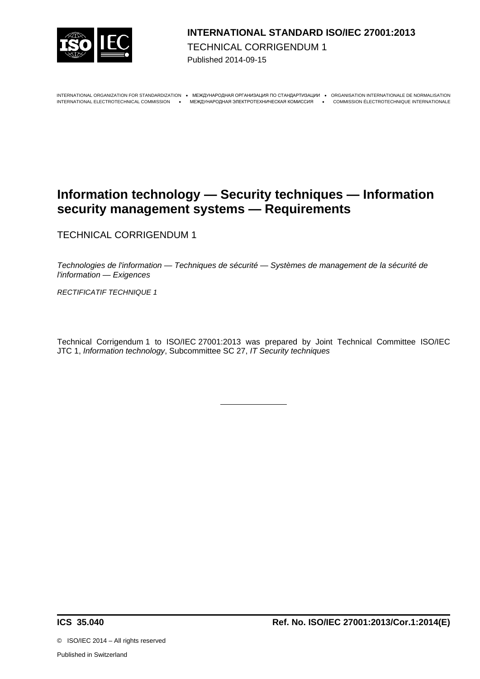

### **INTERNATIONAL STANDARD ISO/IEC 27001:2013**  TECHNICAL CORRIGENDUM 1 Published 2014-09-15

INTERNATIONAL ORGANIZATION FOR STANDARDIZATION · MEЖДУНАРОДНАЯ ОРГАНИЗАЦИЯ ПО СТАНДАРТИЗАЦИИ · ORGANISATION INTERNATIONALE DE NORMALISATION

INTERNATIONAL ELECTROTECHNICAL COMMISSION МЕЖДУНАРОДНАЯ ЭЛЕКТРОТЕХНИЧЕСКАЯ КОМИССИЯ COMMISSION ÉLECTROTECHNIQUE INTERNATIONALE

# **Information technology — Security techniques — Information security management systems — Requirements**

TECHNICAL CORRIGENDUM 1

*Technologies de l'information — Techniques de sécurité — Systèmes de management de la sécurité de l'information — Exigences*

*RECTIFICATIF TECHNIQUE 1*

Technical Corrigendum 1 to ISO/IEC 27001:2013 was prepared by Joint Technical Committee ISO/IEC JTC 1, *Information technology*, Subcommittee SC 27, *IT Security techniques*

©ISO/IEC 2014 – All rights reserved